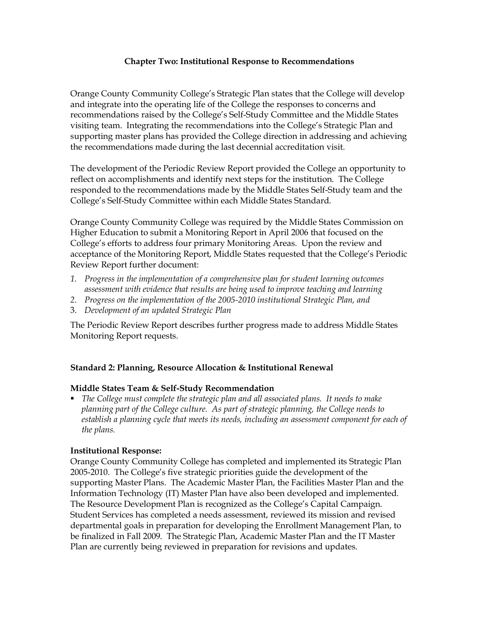## **Chapter Two: Institutional Response to Recommendations**

Orange County Community College's Strategic Plan states that the College will develop and integrate into the operating life of the College the responses to concerns and recommendations raised by the College's Self-Study Committee and the Middle States visiting team. Integrating the recommendations into the College's Strategic Plan and supporting master plans has provided the College direction in addressing and achieving the recommendations made during the last decennial accreditation visit.

The development of the Periodic Review Report provided the College an opportunity to reflect on accomplishments and identify next steps for the institution. The College responded to the recommendations made by the Middle States Self-Study team and the College's Self-Study Committee within each Middle States Standard.

Orange County Community College was required by the Middle States Commission on Higher Education to submit a Monitoring Report in April 2006 that focused on the College's efforts to address four primary Monitoring Areas. Upon the review and acceptance of the Monitoring Report, Middle States requested that the College's Periodic Review Report further document:

- *1. Progress in the implementation of a comprehensive plan for student learning outcomes assessment with evidence that results are being used to improve teaching and learning*
- *2. Progress on the implementation of the 20052010 institutional Strategic Plan, and*
- 3. *Development of an updated Strategic Plan*

The Periodic Review Report describes further progress made to address Middle States Monitoring Report requests.

## **Standard 2: Planning, Resource Allocation & Institutional Renewal**

## **Middle States Team & Self-Study Recommendation**

ß *The College must complete the strategic plan and all associated plans. It needs to make planning part of the College culture. As part of strategic planning, the College needs to establish a planning cycle that meets its needs, including an assessment component for each of the plans.*

## **Institutional Response:**

Orange County Community College has completed and implemented its Strategic Plan 2005-2010. The College's five strategic priorities guide the development of the supporting Master Plans. The Academic Master Plan, the Facilities Master Plan and the Information Technology (IT) Master Plan have also been developed and implemented. The Resource Development Plan is recognized as the College's Capital Campaign. Student Services has completed a needs assessment, reviewed its mission and revised departmental goals in preparation for developing the Enrollment Management Plan, to be finalized in Fall 2009. The Strategic Plan, Academic Master Plan and the IT Master Plan are currently being reviewed in preparation for revisions and updates.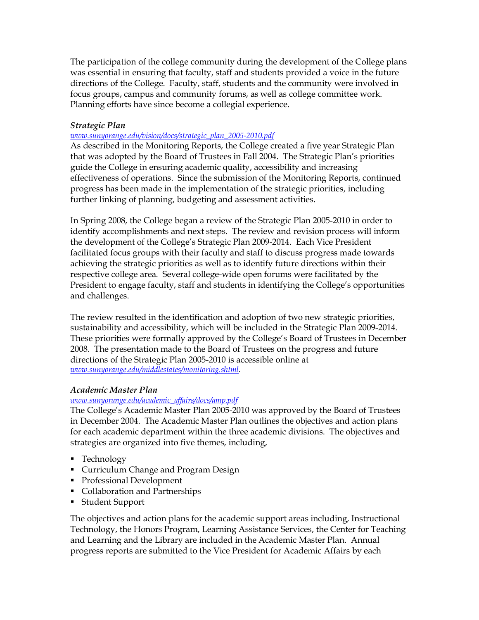The participation of the college community during the development of the College plans was essential in ensuring that faculty, staff and students provided a voice in the future directions of the College. Faculty, staff, students and the community were involved in focus groups, campus and community forums, as well as college committee work. Planning efforts have since become a collegial experience.

## *Strategic Plan*

#### *www.sunyorange.edu/vision/docs/strategic\_plan\_20052010.pdf*

As described in the Monitoring Reports, the College created a five year Strategic Plan that was adopted by the Board of Trustees in Fall 2004. The Strategic Plan's priorities guide the College in ensuring academic quality, accessibility and increasing effectiveness of operations. Since the submission of the Monitoring Reports, continued progress has been made in the implementation of the strategic priorities, including further linking of planning, budgeting and assessment activities.

In Spring 2008, the College began a review of the Strategic Plan 2005-2010 in order to identify accomplishments and next steps. The review and revision process will inform the development of the College's Strategic Plan 2009-2014. Each Vice President facilitated focus groups with their faculty and staff to discuss progress made towards achieving the strategic priorities as well as to identify future directions within their respective college area. Several college-wide open forums were facilitated by the President to engage faculty, staff and students in identifying the College's opportunities and challenges.

The review resulted in the identification and adoption of two new strategic priorities, sustainability and accessibility, which will be included in the Strategic Plan 2009-2014. These priorities were formally approved by the College's Board of Trustees in December 2008. The presentation made to the Board of Trustees on the progress and future directions of the Strategic Plan 2005-2010 is accessible online at *www.sunyorange.edu/middlestates/monitoring.shtml.*

## *Academic Master Plan*

## *www.sunyorange.edu/academic\_af airs/docs/amp.pdf*

The College's Academic Master Plan 2005-2010 was approved by the Board of Trustees in December 2004. The Academic Master Plan outlines the objectives and action plans for each academic department within the three academic divisions. The objectives and strategies are organized into five themes, including,

- Technology
- **Curriculum Change and Program Design**
- **•** Professional Development
- Collaboration and Partnerships
- Student Support

The objectives and action plans for the academic support areas including, Instructional Technology, the Honors Program, Learning Assistance Services, the Center for Teaching and Learning and the Library are included in the Academic Master Plan. Annual progress reports are submitted to the Vice President for Academic Affairs by each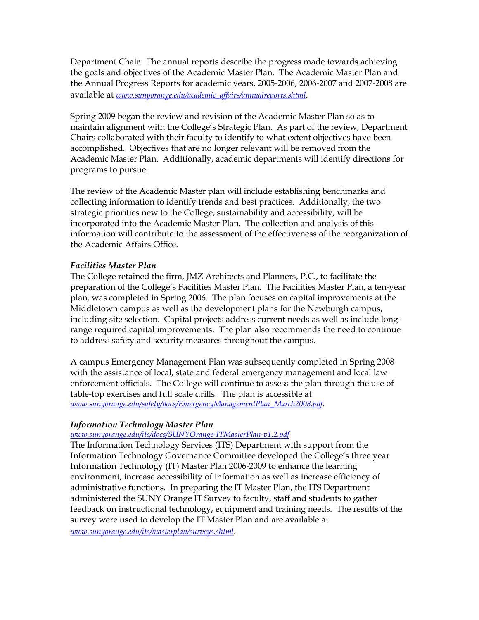Department Chair. The annual reports describe the progress made towards achieving the goals and objectives of the Academic Master Plan. The Academic Master Plan and the Annual Progress Reports for academic years, 2005-2006, 2006-2007 and 2007-2008 are available at *www.sunyorange.edu/academic\_af airs/annualreports.shtml*.

Spring 2009 began the review and revision of the Academic Master Plan so as to maintain alignment with the College's Strategic Plan. As part of the review, Department Chairs collaborated with their faculty to identify to what extent objectives have been accomplished. Objectives that are no longer relevant will be removed from the Academic Master Plan. Additionally, academic departments will identify directions for programs to pursue.

The review of the Academic Master plan will include establishing benchmarks and collecting information to identify trends and best practices. Additionally, the two strategic priorities new to the College, sustainability and accessibility, will be incorporated into the Academic Master Plan. The collection and analysis of this information will contribute to the assessment of the effectiveness of the reorganization of the Academic Affairs Office.

## *Facilities Master Plan*

The College retained the firm, JMZ Architects and Planners, P.C., to facilitate the preparation of the College's Facilities Master Plan. The Facilities Master Plan, a tenyear plan, was completed in Spring 2006. The plan focuses on capital improvements at the Middletown campus as well as the development plans for the Newburgh campus, including site selection. Capital projects address current needs as well as include longrange required capital improvements. The plan also recommends the need to continue to address safety and security measures throughout the campus.

A campus Emergency Management Plan was subsequently completed in Spring 2008 with the assistance of local, state and federal emergency management and local law enforcement officials. The College will continue to assess the plan through the use of table-top exercises and full scale drills. The plan is accessible at *www.sunyorange.edu/safety/docs/EmergencyManagementPlan\_March2008.pdf.*

## *Information Technology Master Plan*

## www.sunyorange.edu/its/docs/SUNYOrange-ITMasterPlan-v1.2.pdf

The Information Technology Services (ITS) Department with support from the Information Technology Governance Committee developed the College's three year Information Technology (IT) Master Plan 2006-2009 to enhance the learning environment, increase accessibility of information as well as increase efficiency of administrative functions. In preparing the IT Master Plan, the ITS Department administered the SUNY Orange IT Survey to faculty, staff and students to gather feedback on instructional technology, equipment and training needs. The results of the survey were used to develop the IT Master Plan and are available at *www.sunyorange.edu/its/masterplan/surveys.shtml*.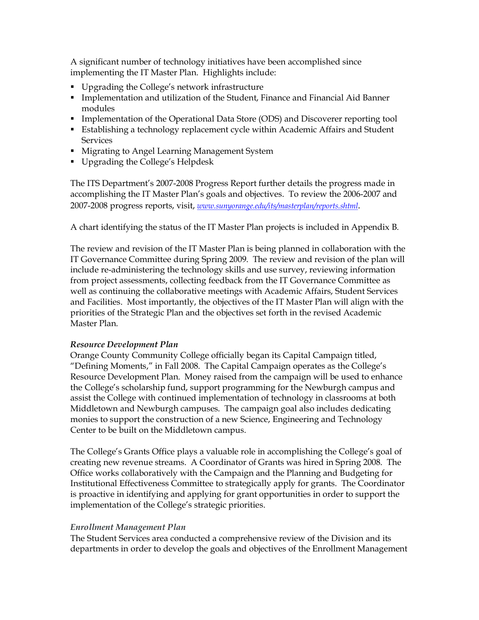A significant number of technology initiatives have been accomplished since implementing the IT Master Plan. Highlights include:

- **•** Upgrading the College's network infrastructure
- **Implementation and utilization of the Student, Finance and Financial Aid Banner** modules
- **Implementation of the Operational Data Store (ODS) and Discoverer reporting tool**
- **Establishing a technology replacement cycle within Academic Affairs and Student Services**
- **Keta Migrating to Angel Learning Management System**
- **•** Upgrading the College's Helpdesk

The ITS Department's 2007-2008 Progress Report further details the progress made in accomplishing the IT Master Plan's goals and objectives. To review the 2006-2007 and 2007-2008 progress reports, visit, *www.sunyorange.edu/its/masterplan/reports.shtml*.

A chart identifying the status of the IT Master Plan projects is included in Appendix B.

The review and revision of the IT Master Plan is being planned in collaboration with the IT Governance Committee during Spring 2009. The review and revision of the plan will include re-administering the technology skills and use survey, reviewing information from project assessments, collecting feedback from the IT Governance Committee as well as continuing the collaborative meetings with Academic Affairs, Student Services and Facilities. Most importantly, the objectives of the IT Master Plan will align with the priorities of the Strategic Plan and the objectives set forth in the revised Academic Master Plan.

## *Resource Development Plan*

Orange County Community College officially began its Capital Campaign titled, "Defining Moments," in Fall 2008. The Capital Campaign operates as the College's Resource Development Plan. Money raised from the campaign will be used to enhance the College's scholarship fund, support programming for the Newburgh campus and assist the College with continued implementation of technology in classrooms at both Middletown and Newburgh campuses. The campaign goal also includes dedicating monies to support the construction of a new Science, Engineering and Technology Center to be built on the Middletown campus.

The College's Grants Office plays a valuable role in accomplishing the College's goal of creating new revenue streams. A Coordinator of Grants was hired in Spring 2008. The Office works collaboratively with the Campaign and the Planning and Budgeting for Institutional Effectiveness Committee to strategically apply for grants. The Coordinator is proactive in identifying and applying for grant opportunities in order to support the implementation of the College's strategic priorities.

# *Enrollment Management Plan*

The Student Services area conducted a comprehensive review of the Division and its departments in order to develop the goals and objectives of the Enrollment Management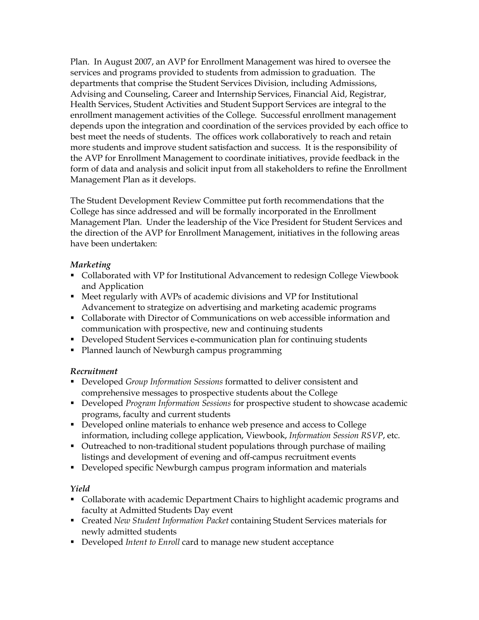Plan. In August 2007, an AVP for Enrollment Management was hired to oversee the services and programs provided to students from admission to graduation. The departments that comprise the Student Services Division, including Admissions, Advising and Counseling, Career and Internship Services, Financial Aid, Registrar, Health Services, Student Activities and Student Support Services are integral to the enrollment management activities of the College. Successful enrollment management depends upon the integration and coordination of the services provided by each office to best meet the needs of students. The offices work collaboratively to reach and retain more students and improve student satisfaction and success. It is the responsibility of the AVP for Enrollment Management to coordinate initiatives, provide feedback in the form of data and analysis and solicit input from all stakeholders to refine the Enrollment Management Plan as it develops.

The Student Development Review Committee put forth recommendations that the College has since addressed and will be formally incorporated in the Enrollment Management Plan. Under the leadership of the Vice President for Student Services and the direction of the AVP for Enrollment Management, initiatives in the following areas have been undertaken:

## *Marketing*

- Collaborated with VP for Institutional Advancement to redesign College Viewbook and Application
- **Meet regularly with AVPs of academic divisions and VP for Institutional** Advancement to strategize on advertising and marketing academic programs
- **Collaborate with Director of Communications on web accessible information and** communication with prospective, new and continuing students
- **Developed Student Services e-communication plan for continuing students**
- Planned launch of Newburgh campus programming

## *Recruitment*

- **Developed** *Group Information Sessions* formatted to deliver consistent and comprehensive messages to prospective students about the College
- **Developed** *Program Information Sessions* for prospective student to showcase academic programs, faculty and current students
- **•** Developed online materials to enhance web presence and access to College information, including college application, Viewbook, *Information Session RSVP*, etc.
- Outreached to non-traditional student populations through purchase of mailing listings and development of evening and off-campus recruitment events
- **•** Developed specific Newburgh campus program information and materials

# *Yield*

- Collaborate with academic Department Chairs to highlight academic programs and faculty at Admitted Students Day event
- **FCreated** *New Student Information Packet* containing Student Services materials for newly admitted students
- **•** Developed *Intent to Enroll* card to manage new student acceptance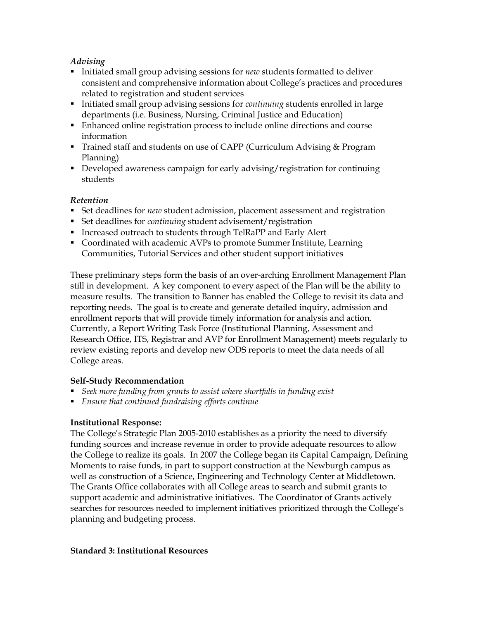## *Advising*

- **Initiated small group advising sessions for** *new* **students formatted to deliver** consistent and comprehensive information about College's practices and procedures related to registration and student services
- **Initiated small group advising sessions for** *continuing* **students enrolled in large** departments (i.e. Business, Nursing, Criminal Justice and Education)
- ß Enhanced online registration process to include online directions and course information
- Trained staff and students on use of CAPP (Curriculum Advising & Program Planning)
- **•** Developed awareness campaign for early advising/registration for continuing students

## *Retention*

- **Set deadlines for** *new* **student admission, placement assessment and registration**
- Set deadlines for *continuing* student advisement/registration
- **Increased outreach to students through TelRaPP and Early Alert**
- ß Coordinated with academic AVPs to promote Summer Institute, Learning Communities, Tutorial Services and other student support initiatives

These preliminary steps form the basis of an over-arching Enrollment Management Plan still in development. A key component to every aspect of the Plan will be the ability to measure results. The transition to Banner has enabled the College to revisit its data and reporting needs. The goal is to create and generate detailed inquiry, admission and enrollment reports that will provide timely information for analysis and action. Currently, a Report Writing Task Force (Institutional Planning, Assessment and Research Office, ITS, Registrar and AVP for Enrollment Management) meets regularly to review existing reports and develop new ODS reports to meet the data needs of all College areas.

## **Self-Study Recommendation**

- ß *Seek more funding from grants to assist where shortfalls in funding exist*
- ß *Ensure that continued fundraising efforts continue*

# **Institutional Response:**

The College's Strategic Plan 2005-2010 establishes as a priority the need to diversify funding sources and increase revenue in order to provide adequate resources to allow the College to realize its goals. In 2007 the College began its Capital Campaign, Defining Moments to raise funds, in part to support construction at the Newburgh campus as well as construction of a Science, Engineering and Technology Center at Middletown. The Grants Office collaborates with all College areas to search and submit grants to support academic and administrative initiatives. The Coordinator of Grants actively searches for resources needed to implement initiatives prioritized through the College's planning and budgeting process.

## **Standard 3: Institutional Resources**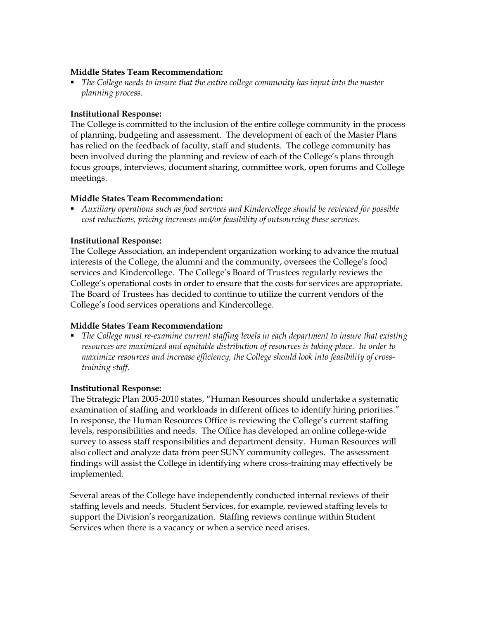#### **Middle States Team Recommendation:**

ß *The College needs to insure that the entire college community has input into the master planning process.*

## **Institutional Response:**

The College is committed to the inclusion of the entire college community in the process of planning, budgeting and assessment. The development of each of the Master Plans has relied on the feedback of faculty, staff and students. The college community has been involved during the planning and review of each of the College's plans through focus groups, interviews, document sharing, committee work, open forums and College meetings.

#### **Middle States Team Recommendation:**

ß *Auxiliary operations such as food services and Kindercollege should be reviewed for possible cost reductions, pricing increases and/or feasibility of outsourcing these services.*

#### **Institutional Response:**

The College Association, an independent organization working to advance the mutual interests of the College, the alumni and the community, oversees the College's food services and Kindercollege. The College's Board of Trustees regularly reviews the College's operational costs in order to ensure that the costs for services are appropriate. The Board of Trustees has decided to continue to utilize the current vendors of the College's food services operations and Kindercollege.

#### **Middle States Team Recommendation:**

**•** The College must re-examine current staffing levels in each department to insure that existing *resources are maximized and equitable distribution of resources is taking place. In order to maximize resources and increase efficiency, the College should look into feasibility of crosstraining staff.*

#### **Institutional Response:**

The Strategic Plan 2005-2010 states, "Human Resources should undertake a systematic examination of staffing and workloads in different offices to identify hiring priorities." In response, the Human Resources Office is reviewing the College's current staffing levels, responsibilities and needs. The Office has developed an online college-wide survey to assess staff responsibilities and department density. Human Resources will also collect and analyze data from peer SUNY community colleges. The assessment findings will assist the College in identifying where cross-training may effectively be implemented.

Several areas of the College have independently conducted internal reviews of their staffing levels and needs. Student Services, for example, reviewed staffing levels to support the Division's reorganization. Staffing reviews continue within Student Services when there is a vacancy or when a service need arises.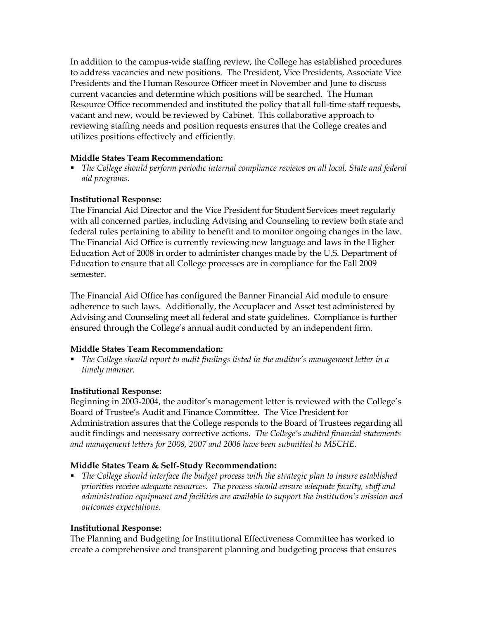In addition to the campus-wide staffing review, the College has established procedures to address vacancies and new positions. The President, Vice Presidents, Associate Vice Presidents and the Human Resource Officer meet in November and June to discuss current vacancies and determine which positions will be searched. The Human Resource Office recommended and instituted the policy that all full-time staff requests, vacant and new, would be reviewed by Cabinet. This collaborative approach to reviewing staffing needs and position requests ensures that the College creates and utilizes positions effectively and efficiently.

## **Middle States Team Recommendation:**

ß *The College should perform periodic internal compliance reviews on all local, State and federal aid programs.*

## **Institutional Response:**

The Financial Aid Director and the Vice President for Student Services meet regularly with all concerned parties, including Advising and Counseling to review both state and federal rules pertaining to ability to benefit and to monitor ongoing changes in the law. The Financial Aid Office is currently reviewing new language and laws in the Higher Education Act of 2008 in order to administer changes made by the U.S. Department of Education to ensure that all College processes are in compliance for the Fall 2009 semester.

The Financial Aid Office has configured the Banner Financial Aid module to ensure adherence to such laws. Additionally, the Accuplacer and Asset test administered by Advising and Counseling meet all federal and state guidelines. Compliance is further ensured through the College's annual audit conducted by an independent firm.

## **Middle States Team Recommendation:**

ß *The College should report to audit findings listed in the auditor's management letter in a timely manner.*

## **Institutional Response:**

Beginning in 2003-2004, the auditor's management letter is reviewed with the College's Board of Trustee's Audit and Finance Committee. The Vice President for Administration assures that the College responds to the Board of Trustees regarding all audit findings and necessary corrective actions. *The College's audited financial statements and management letters for 2008, 2007 and 2006 have been submitted to MSCHE*.

#### **Middle States Team & Self-Study Recommendation:**

ß *The College should interface the budget process with the strategic plan to insure established priorities receive adequate resources. The process should ensure adequate faculty, staff and administration equipment and facilities are available to support the institution's mission and outcomes expectations.*

## **Institutional Response:**

The Planning and Budgeting for Institutional Effectiveness Committee has worked to create a comprehensive and transparent planning and budgeting process that ensures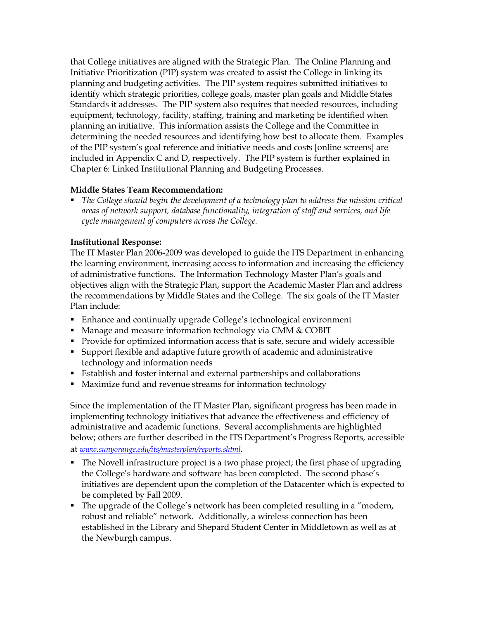that College initiatives are aligned with the Strategic Plan. The Online Planning and Initiative Prioritization (PIP) system was created to assist the College in linking its planning and budgeting activities. The PIP system requires submitted initiatives to identify which strategic priorities, college goals, master plan goals and Middle States Standards it addresses. The PIP system also requires that needed resources, including equipment, technology, facility, staffing, training and marketing be identified when planning an initiative. This information assists the College and the Committee in determining the needed resources and identifying how best to allocate them. Examples of the PIP system's goal reference and initiative needs and costs [online screens] are included in Appendix C and D, respectively. The PIP system is further explained in Chapter 6: Linked Institutional Planning and Budgeting Processes.

## **Middle States Team Recommendation:**

ß *The College should begin the development of a technology plan to address the mission critical areas of network support, database functionality, integration of staff and services, and life cycle management of computers across the College.*

## **Institutional Response:**

The IT Master Plan 2006-2009 was developed to guide the ITS Department in enhancing the learning environment, increasing access to information and increasing the efficiency of administrative functions. The Information Technology Master Plan's goals and objectives align with the Strategic Plan, support the Academic Master Plan and address the recommendations by Middle States and the College. The six goals of the IT Master Plan include:

- Enhance and continually upgrade College's technological environment
- Manage and measure information technology via CMM & COBIT
- Provide for optimized information access that is safe, secure and widely accessible
- ß Support flexible and adaptive future growth of academic and administrative technology and information needs
- **Establish and foster internal and external partnerships and collaborations**
- Maximize fund and revenue streams for information technology

Since the implementation of the IT Master Plan, significant progress has been made in implementing technology initiatives that advance the effectiveness and efficiency of administrative and academic functions. Several accomplishments are highlighted below; others are further described in the ITS Department's Progress Reports, accessible at *www.sunyorange.edu/its/masterplan/reports.shtml*.

- The Novell infrastructure project is a two phase project; the first phase of upgrading the College's hardware and software has been completed. The second phase's initiatives are dependent upon the completion of the Datacenter which is expected to be completed by Fall 2009.
- The upgrade of the College's network has been completed resulting in a "modern, robust and reliable" network. Additionally, a wireless connection has been established in the Library and Shepard Student Center in Middletown as well as at the Newburgh campus.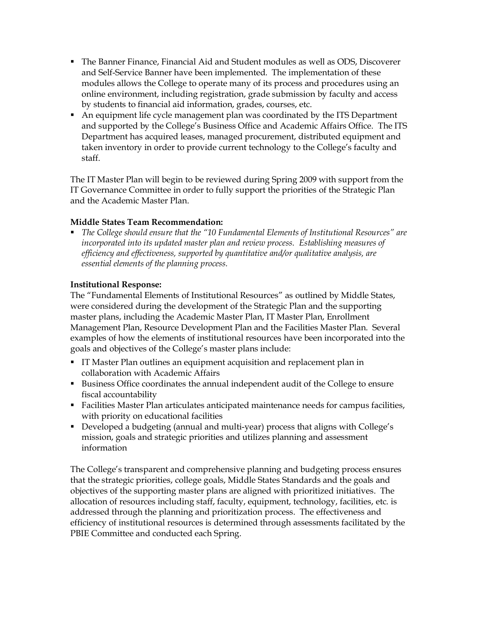- **The Banner Finance, Financial Aid and Student modules as well as ODS, Discoverer** and Self-Service Banner have been implemented. The implementation of these modules allows the College to operate many of its process and procedures using an online environment, including registration, grade submission by faculty and access by students to financial aid information, grades, courses, etc.
- An equipment life cycle management plan was coordinated by the ITS Department and supported by the College's Business Office and Academic Affairs Office. The ITS Department has acquired leases, managed procurement, distributed equipment and taken inventory in order to provide current technology to the College's faculty and staff.

The IT Master Plan will begin to be reviewed during Spring 2009 with support from the IT Governance Committee in order to fully support the priorities of the Strategic Plan and the Academic Master Plan.

## **Middle States Team Recommendation:**

ß *The College should ensure that the "10 Fundamental Elements of Institutional Resources" are incorporated into its updated master plan and review process. Establishing measures of efficiency and effectiveness, supported by quantitative and/or qualitative analysis, are essential elements of the planning process.*

## **Institutional Response:**

The "Fundamental Elements of Institutional Resources" as outlined by Middle States, were considered during the development of the Strategic Plan and the supporting master plans, including the Academic Master Plan, IT Master Plan, Enrollment Management Plan, Resource Development Plan and the Facilities Master Plan. Several examples of how the elements of institutional resources have been incorporated into the goals and objectives of the College's master plans include:

- **IF Master Plan outlines an equipment acquisition and replacement plan in** collaboration with Academic Affairs
- **Business Office coordinates the annual independent audit of the College to ensure** fiscal accountability
- **Facilities Master Plan articulates anticipated maintenance needs for campus facilities,** with priority on educational facilities
- Developed a budgeting (annual and multi-year) process that aligns with College's mission, goals and strategic priorities and utilizes planning and assessment information

The College's transparent and comprehensive planning and budgeting process ensures that the strategic priorities, college goals, Middle States Standards and the goals and objectives of the supporting master plans are aligned with prioritized initiatives. The allocation of resources including staff, faculty, equipment, technology, facilities, etc. is addressed through the planning and prioritization process. The effectiveness and efficiency of institutional resources is determined through assessments facilitated by the PBIE Committee and conducted each Spring.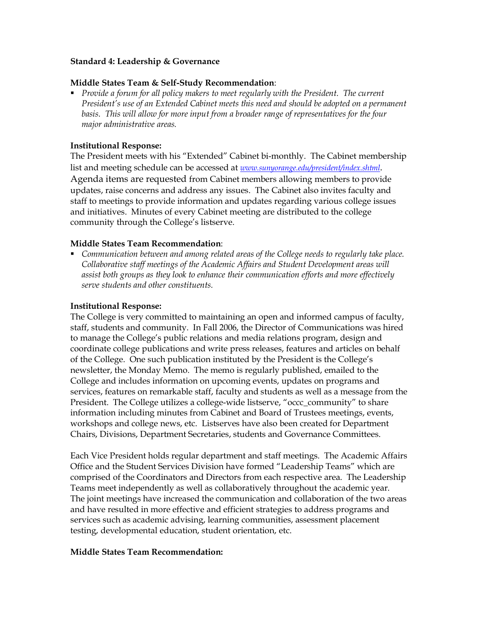#### **Standard 4: Leadership & Governance**

#### **Middle States Team & Self-Study Recommendation:**

ß *Provide a forum for all policy makers to meet regularly with the President. The current President's use of an Extended Cabinet meets this need and should be adopted on a permanent basis. This will allow for more input from a broader range of representatives for the four major administrative areas.*

#### **Institutional Response:**

The President meets with his "Extended" Cabinet bi-monthly. The Cabinet membership list and meeting schedule can be accessed at *www.sunyorange.edu/president/index.shtml*. Agenda items are requested from Cabinet members allowing members to provide updates, raise concerns and address any issues. The Cabinet also invites faculty and staff to meetings to provide information and updates regarding various college issues and initiatives. Minutes of every Cabinet meeting are distributed to the college community through the College's listserve.

#### **Middle States Team Recommendation**:

ß *Communication between and among related areas of the College needs to regularly take place. Collaborative staff meetings of the Academic Affairs and Student Development areas will assist both groups as they look to enhance their communication efforts and more effectively serve students and other constituents.*

#### **Institutional Response:**

The College is very committed to maintaining an open and informed campus of faculty, staff, students and community. In Fall 2006, the Director of Communications was hired to manage the College's public relations and media relations program, design and coordinate college publications and write press releases, features and articles on behalf of the College. One such publication instituted by the President is the College's newsletter, the Monday Memo. The memo is regularly published, emailed to the College and includes information on upcoming events, updates on programs and services, features on remarkable staff, faculty and students as well as a message from the President. The College utilizes a college-wide listserve, "occc\_community" to share information including minutes from Cabinet and Board of Trustees meetings, events, workshops and college news, etc. Listserves have also been created for Department Chairs, Divisions, Department Secretaries, students and Governance Committees.

Each Vice President holds regular department and staff meetings. The Academic Affairs Office and the Student Services Division have formed "Leadership Teams" which are comprised of the Coordinators and Directors from each respective area. The Leadership Teams meet independently as well as collaboratively throughout the academic year. The joint meetings have increased the communication and collaboration of the two areas and have resulted in more effective and efficient strategies to address programs and services such as academic advising, learning communities, assessment placement testing, developmental education, student orientation, etc.

#### **Middle States Team Recommendation:**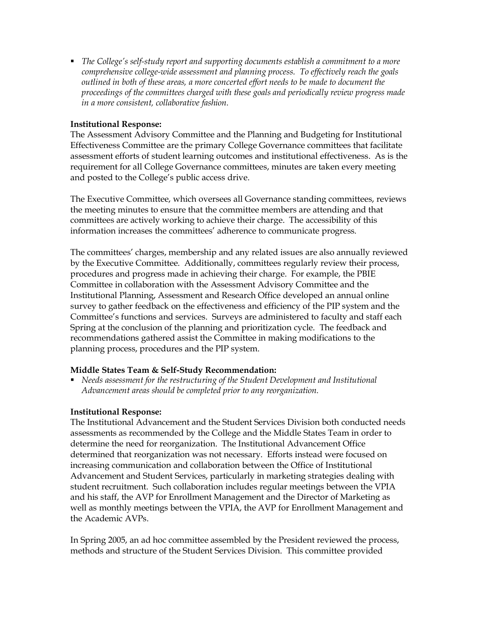$\blacksquare$  The College's self-study report and supporting documents establish a commitment to a more *comprehensive college-wide assessment and planning process. To effectively reach the goals outlined in both of these areas, a more concerted effort needs to be made to document the proceedings of the committees charged with these goals and periodically review progress made in a more consistent, collaborative fashion.*

#### **Institutional Response:**

The Assessment Advisory Committee and the Planning and Budgeting for Institutional Effectiveness Committee are the primary College Governance committees that facilitate assessment efforts of student learning outcomes and institutional effectiveness. As is the requirement for all College Governance committees, minutes are taken every meeting and posted to the College's public access drive.

The Executive Committee, which oversees all Governance standing committees, reviews the meeting minutes to ensure that the committee members are attending and that committees are actively working to achieve their charge. The accessibility of this information increases the committees' adherence to communicate progress.

The committees' charges, membership and any related issues are also annually reviewed by the Executive Committee. Additionally, committees regularly review their process, procedures and progress made in achieving their charge. For example, the PBIE Committee in collaboration with the Assessment Advisory Committee and the Institutional Planning, Assessment and Research Office developed an annual online survey to gather feedback on the effectiveness and efficiency of the PIP system and the Committee's functions and services. Surveys are administered to faculty and staff each Spring at the conclusion of the planning and prioritization cycle. The feedback and recommendations gathered assist the Committee in making modifications to the planning process, procedures and the PIP system.

#### **Middle States Team & Self-Study Recommendation:**

ß *Needs assessment for the restructuring of the Student Development and Institutional Advancement areas should be completed prior to any reorganization.*

## **Institutional Response:**

The Institutional Advancement and the Student Services Division both conducted needs assessments as recommended by the College and the Middle States Team in order to determine the need for reorganization. The Institutional Advancement Office determined that reorganization was not necessary. Efforts instead were focused on increasing communication and collaboration between the Office of Institutional Advancement and Student Services, particularly in marketing strategies dealing with student recruitment. Such collaboration includes regular meetings between the VPIA and his staff, the AVP for Enrollment Management and the Director of Marketing as well as monthly meetings between the VPIA, the AVP for Enrollment Management and the Academic AVPs.

In Spring 2005, an ad hoc committee assembled by the President reviewed the process, methods and structure of the Student Services Division. This committee provided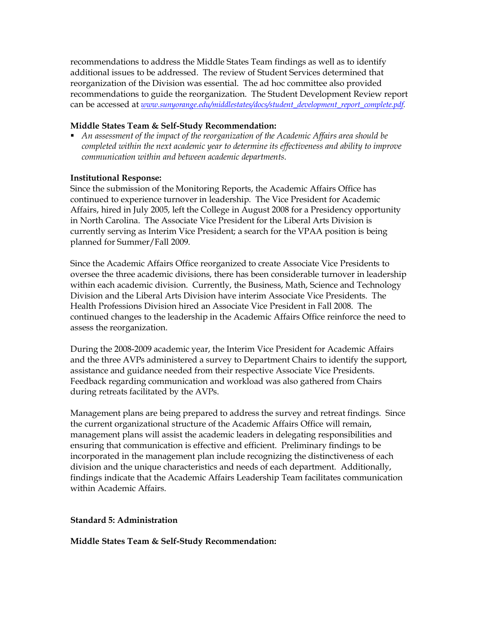recommendations to address the Middle States Team findings as well as to identify additional issues to be addressed. The review of Student Services determined that reorganization of the Division was essential. The ad hoc committee also provided recommendations to guide the reorganization. The Student Development Review report can be accessed at *www.sunyorange.edu/middlestates/docs/student\_development\_report\_complete.pdf.*

#### **Middle States Team & Self-Study Recommendation:**

ß *An assessment of the impact of the reorganization of the Academic Affairs area should be completed within the next academic year to determine its effectiveness and ability to improve communication within and between academic departments.*

#### **Institutional Response:**

Since the submission of the Monitoring Reports, the Academic Affairs Office has continued to experience turnover in leadership. The Vice President for Academic Affairs, hired in July 2005, left the College in August 2008 for a Presidency opportunity in North Carolina. The Associate Vice President for the Liberal Arts Division is currently serving as Interim Vice President; a search for the VPAA position is being planned for Summer/Fall 2009.

Since the Academic Affairs Office reorganized to create Associate Vice Presidents to oversee the three academic divisions, there has been considerable turnover in leadership within each academic division. Currently, the Business, Math, Science and Technology Division and the Liberal Arts Division have interim Associate Vice Presidents. The Health Professions Division hired an Associate Vice President in Fall 2008. The continued changes to the leadership in the Academic Affairs Office reinforce the need to assess the reorganization.

During the 2008-2009 academic year, the Interim Vice President for Academic Affairs and the three AVPs administered a survey to Department Chairs to identify the support, assistance and guidance needed from their respective Associate Vice Presidents. Feedback regarding communication and workload was also gathered from Chairs during retreats facilitated by the AVPs.

Management plans are being prepared to address the survey and retreat findings. Since the current organizational structure of the Academic Affairs Office will remain, management plans will assist the academic leaders in delegating responsibilities and ensuring that communication is effective and efficient. Preliminary findings to be incorporated in the management plan include recognizing the distinctiveness of each division and the unique characteristics and needs of each department. Additionally, findings indicate that the Academic Affairs Leadership Team facilitates communication within Academic Affairs.

#### **Standard 5: Administration**

#### **Middle States Team & Self-Study Recommendation:**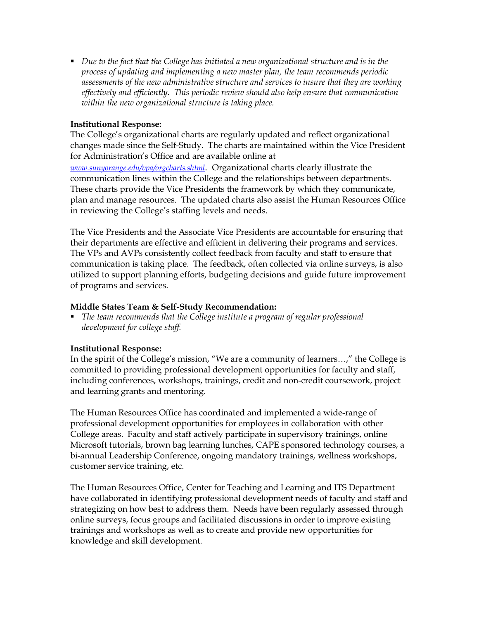ß *Due to the fact that the College has initiated a new organizational structure and is in the process of updating and implementing a new master plan, the team recommends periodic assessments of the new administrative structure and services to insure that they are working effectively and efficiently. This periodic review should also help ensure that communication within the new organizational structure is taking place.*

## **Institutional Response:**

The College's organizational charts are regularly updated and reflect organizational changes made since the Self-Study. The charts are maintained within the Vice President for Administration's Office and are available online at *www.sunyorange.edu/vpa/orgcharts.shtml*. Organizational charts clearly illustrate the

communication lines within the College and the relationships between departments. These charts provide the Vice Presidents the framework by which they communicate, plan and manage resources. The updated charts also assist the Human Resources Office in reviewing the College's staffing levels and needs.

The Vice Presidents and the Associate Vice Presidents are accountable for ensuring that their departments are effective and efficient in delivering their programs and services. The VPs and AVPs consistently collect feedback from faculty and staff to ensure that communication is taking place. The feedback, often collected via online surveys, is also utilized to support planning efforts, budgeting decisions and guide future improvement of programs and services.

## **Middle States Team & Self-Study Recommendation:**

ß *The team recommends that the College institute a program of regular professional development for college staff.*

# **Institutional Response:**

In the spirit of the College's mission, "We are a community of learners…," the College is committed to providing professional development opportunities for faculty and staff, including conferences, workshops, trainings, credit and non-credit coursework, project and learning grants and mentoring.

The Human Resources Office has coordinated and implemented a wide-range of professional development opportunities for employees in collaboration with other College areas. Faculty and staff actively participate in supervisory trainings, online Microsoft tutorials, brown bag learning lunches, CAPE sponsored technology courses, a bi-annual Leadership Conference, ongoing mandatory trainings, wellness workshops, customer service training, etc.

The Human Resources Office, Center for Teaching and Learning and ITS Department have collaborated in identifying professional development needs of faculty and staff and strategizing on how best to address them. Needs have been regularly assessed through online surveys, focus groups and facilitated discussions in order to improve existing trainings and workshops as well as to create and provide new opportunities for knowledge and skill development.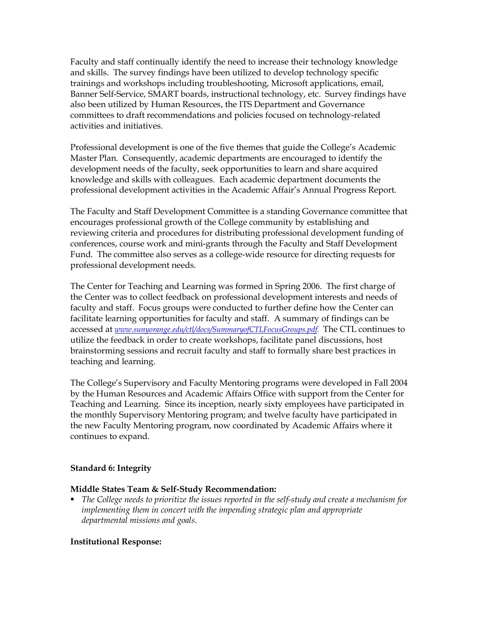Faculty and staff continually identify the need to increase their technology knowledge and skills. The survey findings have been utilized to develop technology specific trainings and workshops including troubleshooting, Microsoft applications, email, Banner Self-Service, SMART boards, instructional technology, etc. Survey findings have also been utilized by Human Resources, the ITS Department and Governance committees to draft recommendations and policies focused on technologyrelated activities and initiatives.

Professional development is one of the five themes that guide the College's Academic Master Plan. Consequently, academic departments are encouraged to identify the development needs of the faculty, seek opportunities to learn and share acquired knowledge and skills with colleagues. Each academic department documents the professional development activities in the Academic Affair's Annual Progress Report.

The Faculty and Staff Development Committee is a standing Governance committee that encourages professional growth of the College community by establishing and reviewing criteria and procedures for distributing professional development funding of conferences, course work and minigrants through the Faculty and Staff Development Fund. The committee also serves as a college-wide resource for directing requests for professional development needs.

The Center for Teaching and Learning was formed in Spring 2006. The first charge of the Center was to collect feedback on professional development interests and needs of faculty and staff. Focus groups were conducted to further define how the Center can facilitate learning opportunities for faculty and staff. A summary of findings can be accessed at *www.sunyorange.edu/ctl/docs/SummaryofCTLFocusGroups.pdf.* The CTL continues to utilize the feedback in order to create workshops, facilitate panel discussions, host brainstorming sessions and recruit faculty and staff to formally share best practices in teaching and learning.

The College's Supervisory and Faculty Mentoring programs were developed in Fall 2004 by the Human Resources and Academic Affairs Office with support from the Center for Teaching and Learning. Since its inception, nearly sixty employees have participated in the monthly Supervisory Mentoring program; and twelve faculty have participated in the new Faculty Mentoring program, now coordinated by Academic Affairs where it continues to expand.

## **Standard 6: Integrity**

#### **Middle States Team & Self-Study Recommendation:**

**•** The College needs to prioritize the issues reported in the self-study and create a mechanism for *implementing them in concert with the impending strategic plan and appropriate departmental missions and goals.*

#### **Institutional Response:**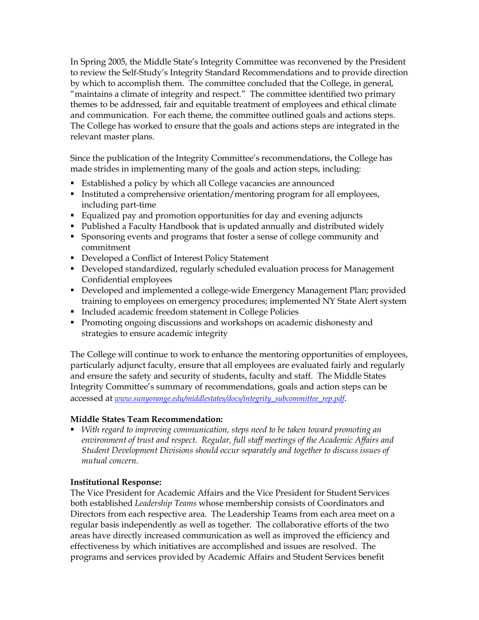In Spring 2005, the Middle State's Integrity Committee was reconvened by the President to review the Self-Study's Integrity Standard Recommendations and to provide direction by which to accomplish them. The committee concluded that the College, in general, "maintains a climate of integrity and respect." The committee identified two primary themes to be addressed, fair and equitable treatment of employees and ethical climate and communication. For each theme, the committee outlined goals and actions steps. The College has worked to ensure that the goals and actions steps are integrated in the relevant master plans.

Since the publication of the Integrity Committee's recommendations, the College has made strides in implementing many of the goals and action steps, including:

- **Established a policy by which all College vacancies are announced**
- **Instituted a comprehensive orientation/mentoring program for all employees,** including part-time
- ß Equalized pay and promotion opportunities for day and evening adjuncts
- Published a Faculty Handbook that is updated annually and distributed widely
- **Sponsoring events and programs that foster a sense of college community and** commitment
- Developed a Conflict of Interest Policy Statement
- Developed standardized, regularly scheduled evaluation process for Management Confidential employees
- Developed and implemented a college-wide Emergency Management Plan; provided training to employees on emergency procedures; implemented NY State Alert system
- **Included academic freedom statement in College Policies**
- **Promoting ongoing discussions and workshops on academic dishonesty and** strategies to ensure academic integrity

The College will continue to work to enhance the mentoring opportunities of employees, particularly adjunct faculty, ensure that all employees are evaluated fairly and regularly and ensure the safety and security of students, faculty and staff. The Middle States Integrity Committee's summary of recommendations, goals and action steps can be accessed at *www.sunyorange.edu/middlestates/docs/integrity\_subcommittee\_rep.pdf*.

# **Middle States Team Recommendation:**

ß *With regard to improving communication, steps need to be taken toward promoting an environment of trust and respect. Regular, full staff meetings of the Academic Affairs and Student Development Divisions should occur separately and together to discuss issues of mutual concern.*

## **Institutional Response:**

The Vice President for Academic Affairs and the Vice President for Student Services both established *Leadership Teams* whose membership consists of Coordinators and Directors from each respective area. The Leadership Teams from each area meet on a regular basis independently as well as together. The collaborative efforts of the two areas have directly increased communication as well as improved the efficiency and effectiveness by which initiatives are accomplished and issues are resolved. The programs and services provided by Academic Affairs and Student Services benefit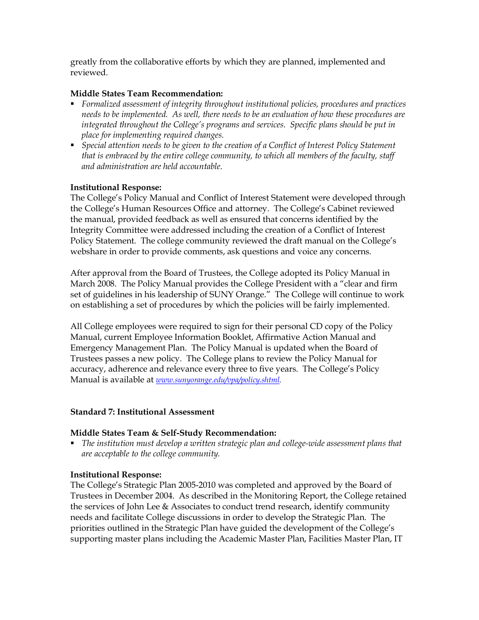greatly from the collaborative efforts by which they are planned, implemented and reviewed.

## **Middle States Team Recommendation:**

- ß *Formalized assessment of integrity throughout institutional policies, procedures and practices needs to be implemented. As well, there needs to be an evaluation of how these procedures are integrated throughout the College's programs and services. Specific plans should be put in place for implementing required changes.*
- ß *Special attention needs to be given to the creation of a Conflict of Interest Policy Statement that is embraced by the entire college community, to which all members of the faculty, staff and administration are held accountable.*

## **Institutional Response:**

The College's Policy Manual and Conflict of Interest Statement were developed through the College's Human Resources Office and attorney. The College's Cabinet reviewed the manual, provided feedback as well as ensured that concerns identified by the Integrity Committee were addressed including the creation of a Conflict of Interest Policy Statement. The college community reviewed the draft manual on the College's webshare in order to provide comments, ask questions and voice any concerns.

After approval from the Board of Trustees, the College adopted its Policy Manual in March 2008. The Policy Manual provides the College President with a "clear and firm set of guidelines in his leadership of SUNY Orange." The College will continue to work on establishing a set of procedures by which the policies will be fairly implemented.

All College employees were required to sign for their personal CD copy of the Policy Manual, current Employee Information Booklet, Affirmative Action Manual and Emergency Management Plan. The Policy Manual is updated when the Board of Trustees passes a new policy. The College plans to review the Policy Manual for accuracy, adherence and relevance every three to five years. The College's Policy Manual is available at *www.sunyorange.edu/vpa/policy.shtml.*

## **Standard 7: Institutional Assessment**

## **Middle States Team & Self-Study Recommendation:**

**•** The institution must develop a written strategic plan and college-wide assessment plans that *are acceptable to the college community.*

#### **Institutional Response:**

The College's Strategic Plan 2005-2010 was completed and approved by the Board of Trustees in December 2004. As described in the Monitoring Report, the College retained the services of John Lee & Associates to conduct trend research, identify community needs and facilitate College discussions in order to develop the Strategic Plan. The priorities outlined in the Strategic Plan have guided the development of the College's supporting master plans including the Academic Master Plan, Facilities Master Plan, IT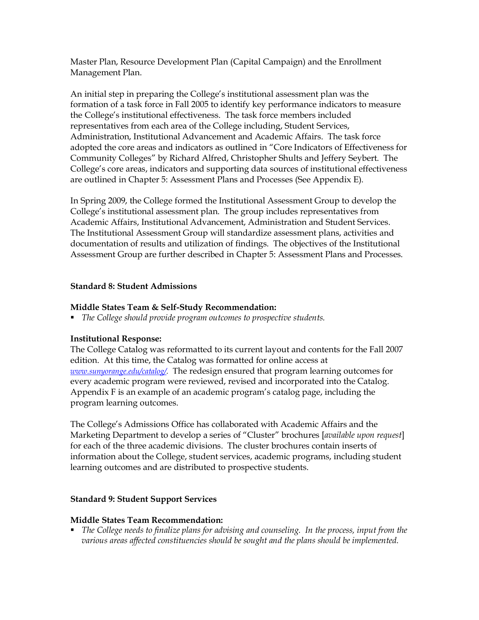Master Plan, Resource Development Plan (Capital Campaign) and the Enrollment Management Plan.

An initial step in preparing the College's institutional assessment plan was the formation of a task force in Fall 2005 to identify key performance indicators to measure the College's institutional effectiveness. The task force members included representatives from each area of the College including, Student Services, Administration, Institutional Advancement and Academic Affairs. The task force adopted the core areas and indicators as outlined in "Core Indicators of Effectiveness for Community Colleges" by Richard Alfred, Christopher Shults and Jeffery Seybert. The College's core areas, indicators and supporting data sources of institutional effectiveness are outlined in Chapter 5: Assessment Plans and Processes (See Appendix E).

In Spring 2009, the College formed the Institutional Assessment Group to develop the College's institutional assessment plan. The group includes representatives from Academic Affairs, Institutional Advancement, Administration and Student Services. The Institutional Assessment Group will standardize assessment plans, activities and documentation of results and utilization of findings. The objectives of the Institutional Assessment Group are further described in Chapter 5: Assessment Plans and Processes.

## **Standard 8: Student Admissions**

## **Middle States Team & Self-Study Recommendation:**

■ *The College should provide program outcomes to prospective students.* 

# **Institutional Response:**

The College Catalog was reformatted to its current layout and contents for the Fall 2007 edition. At this time, the Catalog was formatted for online access at *www.sunyorange.edu/catalog/.* The redesign ensured that program learning outcomes for every academic program were reviewed, revised and incorporated into the Catalog. Appendix F is an example of an academic program's catalog page, including the program learning outcomes.

The College's Admissions Office has collaborated with Academic Affairs and the Marketing Department to develop a series of "Cluster" brochures [*available upon request*] for each of the three academic divisions. The cluster brochures contain inserts of information about the College, student services, academic programs, including student learning outcomes and are distributed to prospective students.

# **Standard 9: Student Support Services**

## **Middle States Team Recommendation:**

ß *The College needs to finalize plans for advising and counseling. In the process, input from the various areas affected constituencies should be sought and the plans should be implemented.*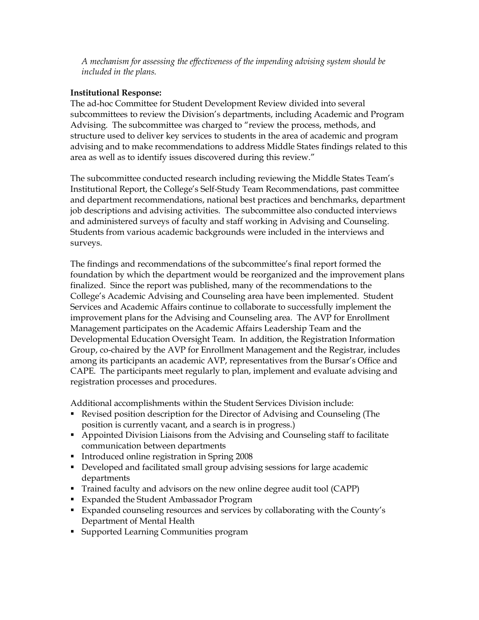*A mechanism for assessing the effectiveness of the impending advising system should be included in the plans.*

## **Institutional Response:**

The ad-hoc Committee for Student Development Review divided into several subcommittees to review the Division's departments, including Academic and Program Advising. The subcommittee was charged to "review the process, methods, and structure used to deliver key services to students in the area of academic and program advising and to make recommendations to address Middle States findings related to this area as well as to identify issues discovered during this review."

The subcommittee conducted research including reviewing the Middle States Team's Institutional Report, the College's Self-Study Team Recommendations, past committee and department recommendations, national best practices and benchmarks, department job descriptions and advising activities. The subcommittee also conducted interviews and administered surveys of faculty and staff working in Advising and Counseling. Students from various academic backgrounds were included in the interviews and surveys.

The findings and recommendations of the subcommittee's final report formed the foundation by which the department would be reorganized and the improvement plans finalized. Since the report was published, many of the recommendations to the College's Academic Advising and Counseling area have been implemented. Student Services and Academic Affairs continue to collaborate to successfully implement the improvement plans for the Advising and Counseling area. The AVP for Enrollment Management participates on the Academic Affairs Leadership Team and the Developmental Education Oversight Team. In addition, the Registration Information Group, co-chaired by the AVP for Enrollment Management and the Registrar, includes among its participants an academic AVP, representatives from the Bursar's Office and CAPE. The participants meet regularly to plan, implement and evaluate advising and registration processes and procedures.

Additional accomplishments within the Student Services Division include:

- **Revised position description for the Director of Advising and Counseling (The** position is currently vacant, and a search is in progress.)
- **Appointed Division Liaisons from the Advising and Counseling staff to facilitate** communication between departments
- Introduced online registration in Spring 2008
- **•** Developed and facilitated small group advising sessions for large academic departments
- Trained faculty and advisors on the new online degree audit tool (CAPP)
- **Expanded the Student Ambassador Program**
- **Expanded counseling resources and services by collaborating with the County's** Department of Mental Health
- **Supported Learning Communities program**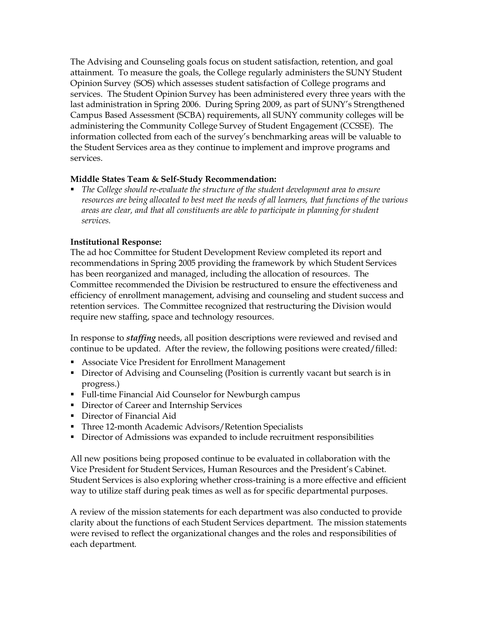The Advising and Counseling goals focus on student satisfaction, retention, and goal attainment. To measure the goals, the College regularly administers the SUNY Student Opinion Survey (SOS) which assesses student satisfaction of College programs and services. The Student Opinion Survey has been administered every three years with the last administration in Spring 2006. During Spring 2009, as part of SUNY's Strengthened Campus Based Assessment (SCBA) requirements, all SUNY community colleges will be administering the Community College Survey of Student Engagement (CCSSE). The information collected from each of the survey's benchmarking areas will be valuable to the Student Services area as they continue to implement and improve programs and services.

## **Middle States Team & Self-Study Recommendation:**

**•** The College should re-evaluate the structure of the student development area to ensure *resources are being allocated to best meet the needs of all learners, that functions of the various areas are clear, and that all constituents are able to participate in planning for student services.*

## **Institutional Response:**

The ad hoc Committee for Student Development Review completed its report and recommendations in Spring 2005 providing the framework by which Student Services has been reorganized and managed, including the allocation of resources. The Committee recommended the Division be restructured to ensure the effectiveness and efficiency of enrollment management, advising and counseling and student success and retention services. The Committee recognized that restructuring the Division would require new staffing, space and technology resources.

In response to *staffing* needs, all position descriptions were reviewed and revised and continue to be updated. After the review, the following positions were created/filled:

- **Associate Vice President for Enrollment Management**
- **Director of Advising and Counseling (Position is currently vacant but search is in** progress.)
- **Full-time Financial Aid Counselor for Newburgh campus**
- Director of Career and Internship Services
- **Director of Financial Aid**
- **Three 12-month Academic Advisors/Retention Specialists**
- **•** Director of Admissions was expanded to include recruitment responsibilities

All new positions being proposed continue to be evaluated in collaboration with the Vice President for Student Services, Human Resources and the President's Cabinet. Student Services is also exploring whether cross-training is a more effective and efficient way to utilize staff during peak times as well as for specific departmental purposes.

A review of the mission statements for each department was also conducted to provide clarity about the functions of each Student Services department. The mission statements were revised to reflect the organizational changes and the roles and responsibilities of each department.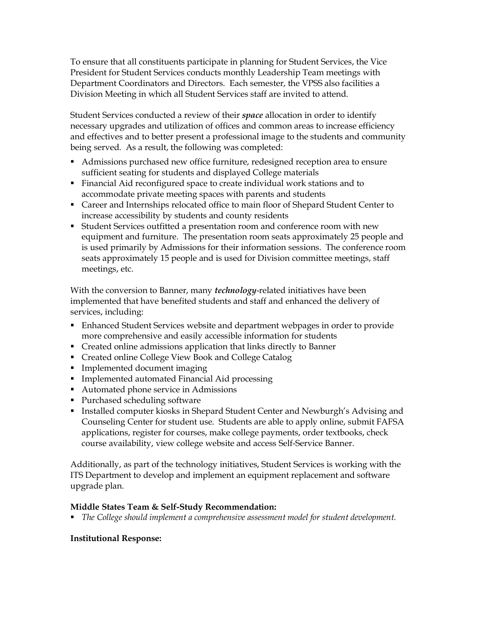To ensure that all constituents participate in planning for Student Services, the Vice President for Student Services conducts monthly Leadership Team meetings with Department Coordinators and Directors. Each semester, the VPSS also facilities a Division Meeting in which all Student Services staff are invited to attend.

Student Services conducted a review of their *space* allocation in order to identify necessary upgrades and utilization of offices and common areas to increase efficiency and effectives and to better present a professional image to the students and community being served. As a result, the following was completed:

- **Admissions purchased new office furniture, redesigned reception area to ensure** sufficient seating for students and displayed College materials
- ß Financial Aid reconfigured space to create individual work stations and to accommodate private meeting spaces with parents and students
- **Example 2** Career and Internships relocated office to main floor of Shepard Student Center to increase accessibility by students and county residents
- **Student Services outfitted a presentation room and conference room with new** equipment and furniture. The presentation room seats approximately 25 people and is used primarily by Admissions for their information sessions. The conference room seats approximately 15 people and is used for Division committee meetings, staff meetings, etc.

With the conversion to Banner, many *technology*related initiatives have been implemented that have benefited students and staff and enhanced the delivery of services, including:

- **Enhanced Student Services website and department webpages in order to provide** more comprehensive and easily accessible information for students
- Created online admissions application that links directly to Banner
- Created online College View Book and College Catalog
- **Implemented document imaging**
- **Implemented automated Financial Aid processing**
- Automated phone service in Admissions
- **Purchased scheduling software**
- **Installed computer kiosks in Shepard Student Center and Newburgh's Advising and** Counseling Center for student use. Students are able to apply online, submit FAFSA applications, register for courses, make college payments, order textbooks, check course availability, view college website and access Self-Service Banner.

Additionally, as part of the technology initiatives, Student Services is working with the ITS Department to develop and implement an equipment replacement and software upgrade plan.

# **Middle States Team & Self-Study Recommendation:**

ß *The College should implement a comprehensive assessment model for student development.*

# **Institutional Response:**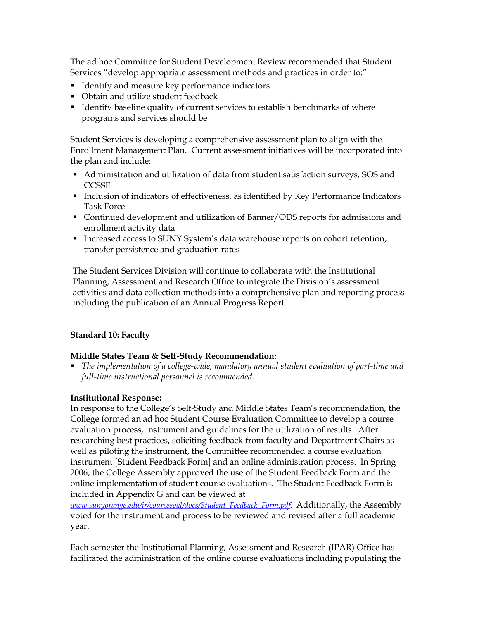The ad hoc Committee for Student Development Review recommended that Student Services "develop appropriate assessment methods and practices in order to:"

- **IDENTIFY And measure key performance indicators**
- Obtain and utilize student feedback
- **I** Identify baseline quality of current services to establish benchmarks of where programs and services should be

Student Services is developing a comprehensive assessment plan to align with the Enrollment Management Plan. Current assessment initiatives will be incorporated into the plan and include:

- Administration and utilization of data from student satisfaction surveys, SOS and **CCSSE**
- **•** Inclusion of indicators of effectiveness, as identified by Key Performance Indicators Task Force
- Continued development and utilization of Banner/ODS reports for admissions and enrollment activity data
- **Increased access to SUNY System's data warehouse reports on cohort retention,** transfer persistence and graduation rates

The Student Services Division will continue to collaborate with the Institutional Planning, Assessment and Research Office to integrate the Division's assessment activities and data collection methods into a comprehensive plan and reporting process including the publication of an Annual Progress Report.

## **Standard 10: Faculty**

## **Middle States Team & Self-Study Recommendation:**

**The implementation of a college-wide, mandatory annual student evaluation of part-time and** *full-time instructional personnel is recommended.* 

## **Institutional Response:**

In response to the College's Self-Study and Middle States Team's recommendation, the College formed an ad hoc Student Course Evaluation Committee to develop a course evaluation process, instrument and guidelines for the utilization of results. After researching best practices, soliciting feedback from faculty and Department Chairs as well as piloting the instrument, the Committee recommended a course evaluation instrument [Student Feedback Form] and an online administration process. In Spring 2006, the College Assembly approved the use of the Student Feedback Form and the online implementation of student course evaluations. The Student Feedback Form is included in Appendix G and can be viewed at

*www.sunyorange.edu/ir/courseeval/docs/Student\_Feedback\_Form.pdf.* Additionally, the Assembly voted for the instrument and process to be reviewed and revised after a full academic year.

Each semester the Institutional Planning, Assessment and Research (IPAR) Office has facilitated the administration of the online course evaluations including populating the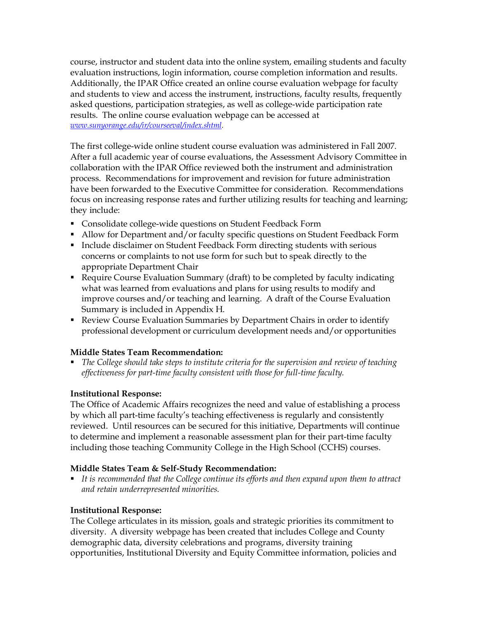course, instructor and student data into the online system, emailing students and faculty evaluation instructions, login information, course completion information and results. Additionally, the IPAR Office created an online course evaluation webpage for faculty and students to view and access the instrument, instructions, faculty results, frequently asked questions, participation strategies, as well as college-wide participation rate results. The online course evaluation webpage can be accessed at *www.sunyorange.edu/ir/courseeval/index.shtml.*

The first college-wide online student course evaluation was administered in Fall 2007. After a full academic year of course evaluations, the Assessment Advisory Committee in collaboration with the IPAR Office reviewed both the instrument and administration process. Recommendations for improvement and revision for future administration have been forwarded to the Executive Committee for consideration. Recommendations focus on increasing response rates and further utilizing results for teaching and learning; they include:

- **Consolidate college-wide questions on Student Feedback Form**
- Allow for Department and/or faculty specific questions on Student Feedback Form
- **Include disclaimer on Student Feedback Form directing students with serious** concerns or complaints to not use form for such but to speak directly to the appropriate Department Chair
- Require Course Evaluation Summary (draft) to be completed by faculty indicating what was learned from evaluations and plans for using results to modify and improve courses and/or teaching and learning. A draft of the Course Evaluation Summary is included in Appendix H.
- Review Course Evaluation Summaries by Department Chairs in order to identify professional development or curriculum development needs and/or opportunities

## **Middle States Team Recommendation:**

ß *The College should take steps to institute criteria for the supervision and review of teaching effectiveness for part-time faculty consistent with those for full-time faculty.* 

# **Institutional Response:**

The Office of Academic Affairs recognizes the need and value of establishing a process by which all part-time faculty's teaching effectiveness is regularly and consistently reviewed. Until resources can be secured for this initiative, Departments will continue to determine and implement a reasonable assessment plan for their part-time faculty including those teaching Community College in the High School (CCHS) courses.

## **Middle States Team & Self-Study Recommendation:**

ß *It is recommended that the College continue its efforts and then expand upon them to attract and retain underrepresented minorities.*

# **Institutional Response:**

The College articulates in its mission, goals and strategic priorities its commitment to diversity. A diversity webpage has been created that includes College and County demographic data, diversity celebrations and programs, diversity training opportunities, Institutional Diversity and Equity Committee information, policies and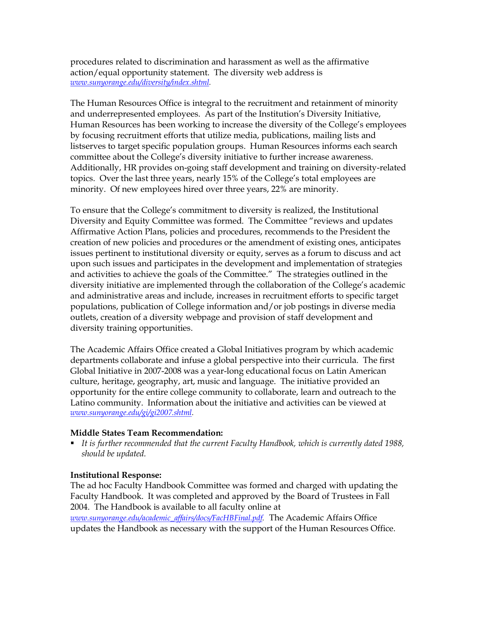procedures related to discrimination and harassment as well as the affirmative action/equal opportunity statement. The diversity web address is *www.sunyorange.edu/diversity/index.shtml.*

The Human Resources Office is integral to the recruitment and retainment of minority and underrepresented employees. As part of the Institution's Diversity Initiative, Human Resources has been working to increase the diversity of the College's employees by focusing recruitment efforts that utilize media, publications, mailing lists and listserves to target specific population groups. Human Resources informs each search committee about the College's diversity initiative to further increase awareness. Additionally, HR provides on-going staff development and training on diversity-related topics. Over the last three years, nearly 15% of the College's total employees are minority. Of new employees hired over three years, 22% are minority.

To ensure that the College's commitment to diversity is realized, the Institutional Diversity and Equity Committee was formed. The Committee "reviews and updates Affirmative Action Plans, policies and procedures, recommends to the President the creation of new policies and procedures or the amendment of existing ones, anticipates issues pertinent to institutional diversity or equity, serves as a forum to discuss and act upon such issues and participates in the development and implementation of strategies and activities to achieve the goals of the Committee." The strategies outlined in the diversity initiative are implemented through the collaboration of the College's academic and administrative areas and include, increases in recruitment efforts to specific target populations, publication of College information and/or job postings in diverse media outlets, creation of a diversity webpage and provision of staff development and diversity training opportunities.

The Academic Affairs Office created a Global Initiatives program by which academic departments collaborate and infuse a global perspective into their curricula. The first Global Initiative in 2007-2008 was a year-long educational focus on Latin American culture, heritage, geography, art, music and language. The initiative provided an opportunity for the entire college community to collaborate, learn and outreach to the Latino community. Information about the initiative and activities can be viewed at *www.sunyorange.edu/gi/gi2007.shtml.*

#### **Middle States Team Recommendation:**

ß *It is further recommended that the current Faculty Handbook, which is currently dated 1988, should be updated.*

#### **Institutional Response:**

The ad hoc Faculty Handbook Committee was formed and charged with updating the Faculty Handbook. It was completed and approved by the Board of Trustees in Fall 2004. The Handbook is available to all faculty online at *www.sunyorange.edu/academic\_af airs/docs/FacHBFinal.pdf.* The Academic Affairs Office updates the Handbook as necessary with the support of the Human Resources Office.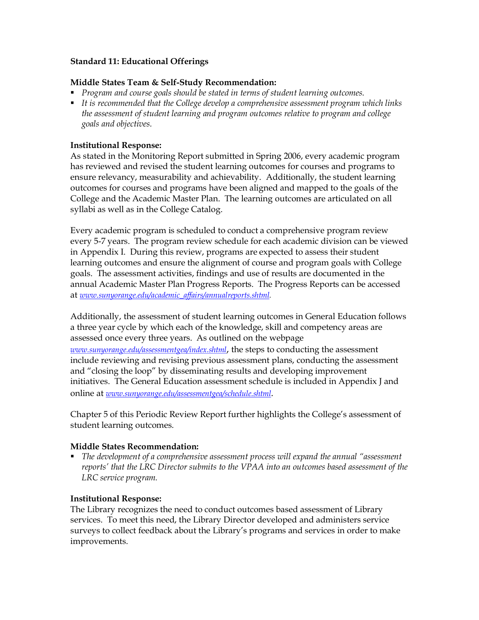#### **Standard 11: Educational Offerings**

#### **Middle States Team & Self-Study Recommendation:**

- ß *Program and course goals should be stated in terms of student learning outcomes.*
- ß *It is recommended that the College develop a comprehensive assessment program which links the assessment of student learning and program outcomes relative to program and college goals and objectives.*

#### **Institutional Response:**

As stated in the Monitoring Report submitted in Spring 2006, every academic program has reviewed and revised the student learning outcomes for courses and programs to ensure relevancy, measurability and achievability. Additionally, the student learning outcomes for courses and programs have been aligned and mapped to the goals of the College and the Academic Master Plan. The learning outcomes are articulated on all syllabi as well as in the College Catalog.

Every academic program is scheduled to conduct a comprehensive program review every 57 years. The program review schedule for each academic division can be viewed in Appendix I. During this review, programs are expected to assess their student learning outcomes and ensure the alignment of course and program goals with College goals. The assessment activities, findings and use of results are documented in the annual Academic Master Plan Progress Reports. The Progress Reports can be accessed at *www.sunyorange.edu/academic\_af airs/annualreports.shtml.*

Additionally, the assessment of student learning outcomes in General Education follows a three year cycle by which each of the knowledge, skill and competency areas are assessed once every three years. As outlined on the webpage *www.sunyorange.edu/assessmentgea/index.shtml*, the steps to conducting the assessment include reviewing and revising previous assessment plans, conducting the assessment and "closing the loop" by disseminating results and developing improvement initiatives. The General Education assessment schedule is included in Appendix J and online at *www.sunyorange.edu/assessmentgea/schedule.shtml*.

Chapter 5 of this Periodic Review Report further highlights the College's assessment of student learning outcomes.

#### **Middle States Recommendation:**

ß *The development of a comprehensive assessment process will expand the annual "assessment reports' that the LRC Director submits to the VPAA into an outcomes based assessment of the LRC service program.*

#### **Institutional Response:**

The Library recognizes the need to conduct outcomes based assessment of Library services. To meet this need, the Library Director developed and administers service surveys to collect feedback about the Library's programs and services in order to make improvements.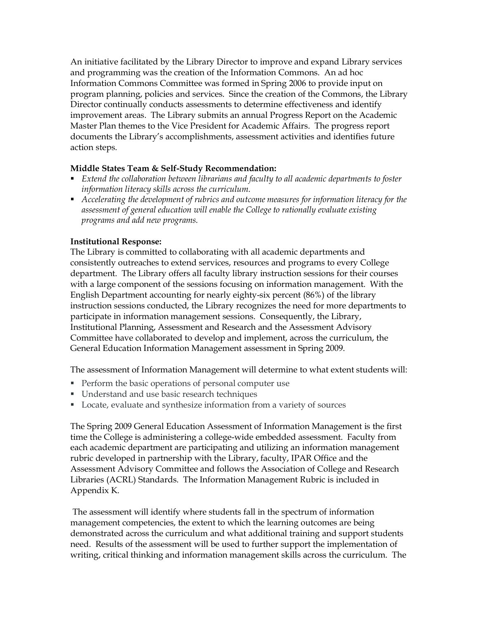An initiative facilitated by the Library Director to improve and expand Library services and programming was the creation of the Information Commons. An ad hoc Information Commons Committee was formed in Spring 2006 to provide input on program planning, policies and services. Since the creation of the Commons, the Library Director continually conducts assessments to determine effectiveness and identify improvement areas. The Library submits an annual Progress Report on the Academic Master Plan themes to the Vice President for Academic Affairs. The progress report documents the Library's accomplishments, assessment activities and identifies future action steps.

## **Middle States Team & Self-Study Recommendation:**

- ß *Extend the collaboration between librarians and faculty to all academic departments to foster information literacy skills across the curriculum.*
- ß *Accelerating the development of rubrics and outcome measures for information literacy for the assessment of general education will enable the College to rationally evaluate existing programs and add new programs.*

## **Institutional Response:**

The Library is committed to collaborating with all academic departments and consistently outreaches to extend services, resources and programs to every College department. The Library offers all faculty library instruction sessions for their courses with a large component of the sessions focusing on information management. With the English Department accounting for nearly eighty-six percent (86%) of the library instruction sessions conducted, the Library recognizes the need for more departments to participate in information management sessions. Consequently, the Library, Institutional Planning, Assessment and Research and the Assessment Advisory Committee have collaborated to develop and implement, across the curriculum, the General Education Information Management assessment in Spring 2009.

The assessment of Information Management will determine to what extent students will:

- Perform the basic operations of personal computer use
- **IDED** Understand and use basic research techniques
- Locate, evaluate and synthesize information from a variety of sources

The Spring 2009 General Education Assessment of Information Management is the first time the College is administering a college-wide embedded assessment. Faculty from each academic department are participating and utilizing an information management rubric developed in partnership with the Library, faculty, IPAR Office and the Assessment Advisory Committee and follows the Association of College and Research Libraries (ACRL) Standards. The Information Management Rubric is included in Appendix K.

The assessment will identify where students fall in the spectrum of information management competencies, the extent to which the learning outcomes are being demonstrated across the curriculum and what additional training and support students need. Results of the assessment will be used to further support the implementation of writing, critical thinking and information management skills across the curriculum. The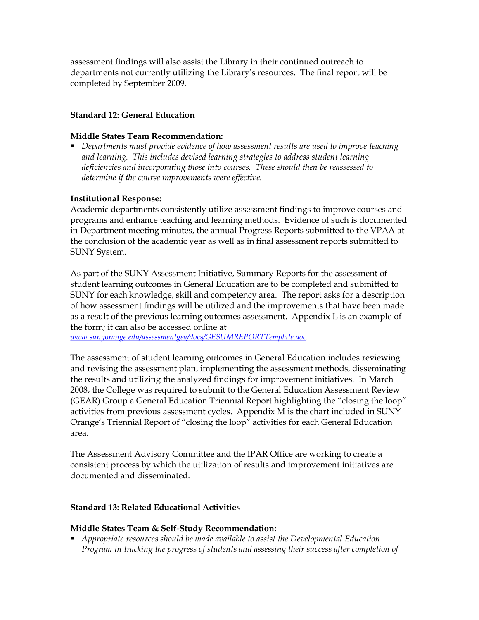assessment findings will also assist the Library in their continued outreach to departments not currently utilizing the Library's resources. The final report will be completed by September 2009.

#### **Standard 12: General Education**

#### **Middle States Team Recommendation:**

ß *Departments must provide evidence of how assessment results are used to improve teaching and learning. This includes devised learning strategies to address student learning deficiencies and incorporating those into courses. These should then be reassessed to determine if the course improvements were effective.*

#### **Institutional Response:**

Academic departments consistently utilize assessment findings to improve courses and programs and enhance teaching and learning methods. Evidence of such is documented in Department meeting minutes, the annual Progress Reports submitted to the VPAA at the conclusion of the academic year as well as in final assessment reports submitted to SUNY System.

As part of the SUNY Assessment Initiative, Summary Reports for the assessment of student learning outcomes in General Education are to be completed and submitted to SUNY for each knowledge, skill and competency area. The report asks for a description of how assessment findings will be utilized and the improvements that have been made as a result of the previous learning outcomes assessment. Appendix L is an example of the form; it can also be accessed online at

*www.sunyorange.edu/assessmentgea/docs/GESUMREPORTTemplate.doc.*

The assessment of student learning outcomes in General Education includes reviewing and revising the assessment plan, implementing the assessment methods, disseminating the results and utilizing the analyzed findings for improvement initiatives. In March 2008, the College was required to submit to the General Education Assessment Review (GEAR) Group a General Education Triennial Report highlighting the "closing the loop" activities from previous assessment cycles. Appendix M is the chart included in SUNY Orange's Triennial Report of "closing the loop" activities for each General Education area.

The Assessment Advisory Committee and the IPAR Office are working to create a consistent process by which the utilization of results and improvement initiatives are documented and disseminated.

#### **Standard 13: Related Educational Activities**

#### **Middle States Team & Self-Study Recommendation:**

ß *Appropriate resources should be made available to assist the Developmental Education Program in tracking the progress of students and assessing their success after completion of*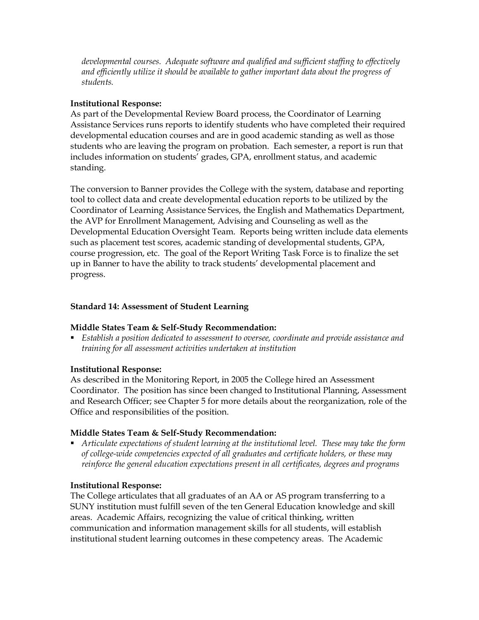*developmental courses. Adequate software and qualified and sufficient staffing to effectively and efficiently utilize it should be available to gather important data about the progress of students.*

## **Institutional Response:**

As part of the Developmental Review Board process, the Coordinator of Learning Assistance Services runs reports to identify students who have completed their required developmental education courses and are in good academic standing as well as those students who are leaving the program on probation. Each semester, a report is run that includes information on students' grades, GPA, enrollment status, and academic standing.

The conversion to Banner provides the College with the system, database and reporting tool to collect data and create developmental education reports to be utilized by the Coordinator of Learning Assistance Services, the English and Mathematics Department, the AVP for Enrollment Management, Advising and Counseling as well as the Developmental Education Oversight Team. Reports being written include data elements such as placement test scores, academic standing of developmental students, GPA, course progression, etc. The goal of the Report Writing Task Force is to finalize the set up in Banner to have the ability to track students' developmental placement and progress.

## **Standard 14: Assessment of Student Learning**

# **Middle States Team & Self-Study Recommendation:**

ß *Establish a position dedicated to assessment to oversee, coordinate and provide assistance and training for all assessment activities undertaken at institution*

# **Institutional Response:**

As described in the Monitoring Report, in 2005 the College hired an Assessment Coordinator. The position has since been changed to Institutional Planning, Assessment and Research Officer; see Chapter 5 for more details about the reorganization, role of the Office and responsibilities of the position.

## **Middle States Team & Self-Study Recommendation:**

ß *Articulate expectations of student learning at the institutional level. These may take the form of collegewide competencies expected of all graduates and certificate holders, or these may reinforce the general education expectations present in all certificates, degrees and programs*

## **Institutional Response:**

The College articulates that all graduates of an AA or AS program transferring to a SUNY institution must fulfill seven of the ten General Education knowledge and skill areas. Academic Affairs, recognizing the value of critical thinking, written communication and information management skills for all students, will establish institutional student learning outcomes in these competency areas. The Academic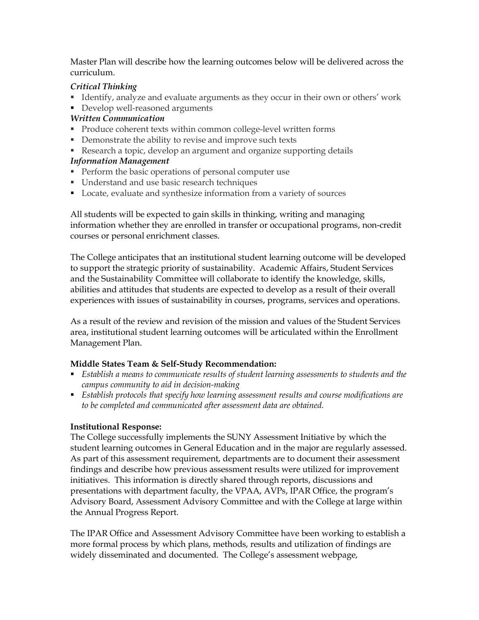Master Plan will describe how the learning outcomes below will be delivered across the curriculum.

## *Critical Thinking*

- **IDENTIFY, analyze and evaluate arguments as they occur in their own or others' work**
- Develop well-reasoned arguments

## *Written Communication*

- Produce coherent texts within common college-level written forms
- Demonstrate the ability to revise and improve such texts
- Research a topic, develop an argument and organize supporting details

## *Information Management*

- Perform the basic operations of personal computer use
- **IDED** Understand and use basic research techniques
- **•** Locate, evaluate and synthesize information from a variety of sources

All students will be expected to gain skills in thinking, writing and managing information whether they are enrolled in transfer or occupational programs, non-credit courses or personal enrichment classes.

The College anticipates that an institutional student learning outcome will be developed to support the strategic priority of sustainability. Academic Affairs, Student Services and the Sustainability Committee will collaborate to identify the knowledge, skills, abilities and attitudes that students are expected to develop as a result of their overall experiences with issues of sustainability in courses, programs, services and operations.

As a result of the review and revision of the mission and values of the Student Services area, institutional student learning outcomes will be articulated within the Enrollment Management Plan.

# **Middle States Team & Self-Study Recommendation:**

- ß *Establish a means to communicate results of student learning assessments to students and the campus community to aid in decision-making*
- ß *Establish protocols that specify how learning assessment results and course modifications are to be completed and communicated after assessment data are obtained.*

## **Institutional Response:**

The College successfully implements the SUNY Assessment Initiative by which the student learning outcomes in General Education and in the major are regularly assessed. As part of this assessment requirement, departments are to document their assessment findings and describe how previous assessment results were utilized for improvement initiatives. This information is directly shared through reports, discussions and presentations with department faculty, the VPAA, AVPs, IPAR Office, the program's Advisory Board, Assessment Advisory Committee and with the College at large within the Annual Progress Report.

The IPAR Office and Assessment Advisory Committee have been working to establish a more formal process by which plans, methods, results and utilization of findings are widely disseminated and documented. The College's assessment webpage,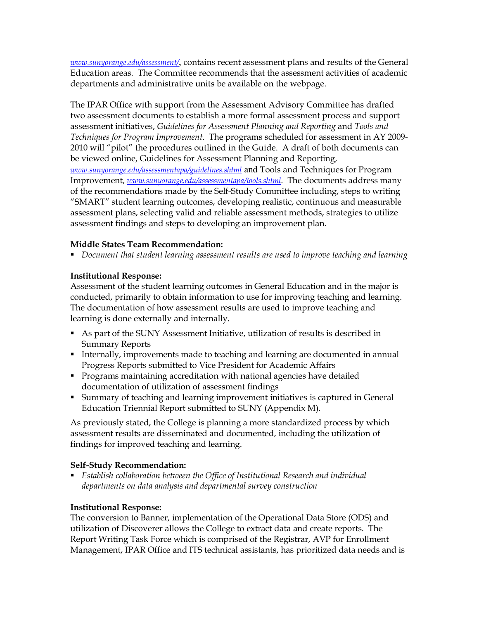*www.sunyorange.edu/assessment/*, contains recent assessment plans and results of the General Education areas. The Committee recommends that the assessment activities of academic departments and administrative units be available on the webpage.

The IPAR Office with support from the Assessment Advisory Committee has drafted two assessment documents to establish a more formal assessment process and support assessment initiatives, *Guidelines for Assessment Planning and Reporting* and *Tools and Techniques for Program Improvement*. The programs scheduled for assessment in AY 2009 2010 will "pilot" the procedures outlined in the Guide. A draft of both documents can be viewed online, Guidelines for Assessment Planning and Reporting, *www.sunyorange.edu/assessmentapa/guidelines.shtml* and Tools and Techniques for Program Improvement, *www.sunyorange.edu/assessmentapa/tools.shtml*. The documents address many of the recommendations made by the Self-Study Committee including, steps to writing "SMART" student learning outcomes, developing realistic, continuous and measurable assessment plans, selecting valid and reliable assessment methods, strategies to utilize assessment findings and steps to developing an improvement plan.

## **Middle States Team Recommendation:**

ß *Document that student learning assessment results are used to improve teaching and learning*

## **Institutional Response:**

Assessment of the student learning outcomes in General Education and in the major is conducted, primarily to obtain information to use for improving teaching and learning. The documentation of how assessment results are used to improve teaching and learning is done externally and internally.

- As part of the SUNY Assessment Initiative, utilization of results is described in Summary Reports
- Internally, improvements made to teaching and learning are documented in annual Progress Reports submitted to Vice President for Academic Affairs
- **Programs maintaining accreditation with national agencies have detailed** documentation of utilization of assessment findings
- **Summary of teaching and learning improvement initiatives is captured in General** Education Triennial Report submitted to SUNY (Appendix M).

As previously stated, the College is planning a more standardized process by which assessment results are disseminated and documented, including the utilization of findings for improved teaching and learning.

## **Self-Study Recommendation:**

ß *Establish collaboration between the Office of Institutional Research and individual departments on data analysis and departmental survey construction*

## **Institutional Response:**

The conversion to Banner, implementation of the Operational Data Store (ODS) and utilization of Discoverer allows the College to extract data and create reports. The Report Writing Task Force which is comprised of the Registrar, AVP for Enrollment Management, IPAR Office and ITS technical assistants, has prioritized data needs and is